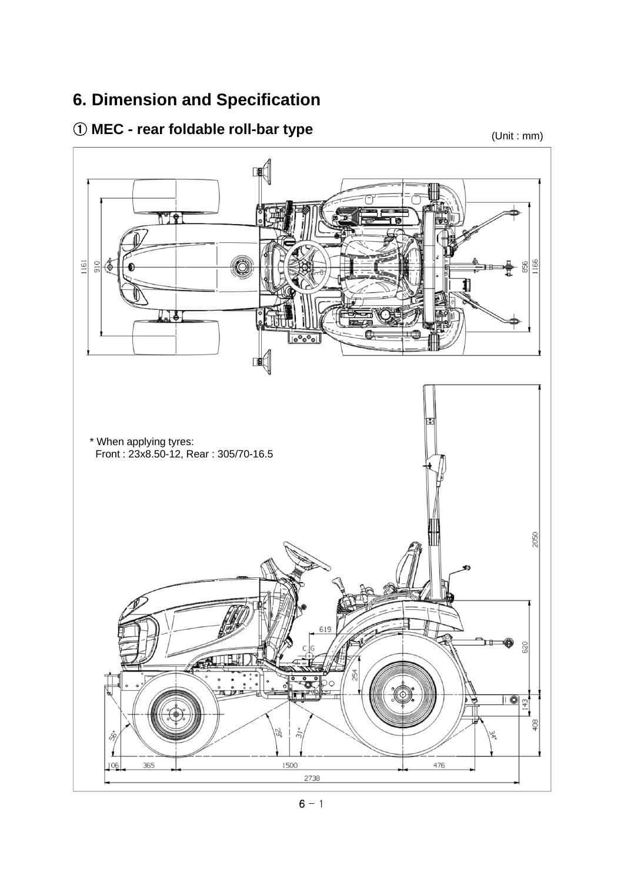## **6. Dimension and Specification**

## ① **MEC - rear foldable roll-bar type** (Unit : mm)

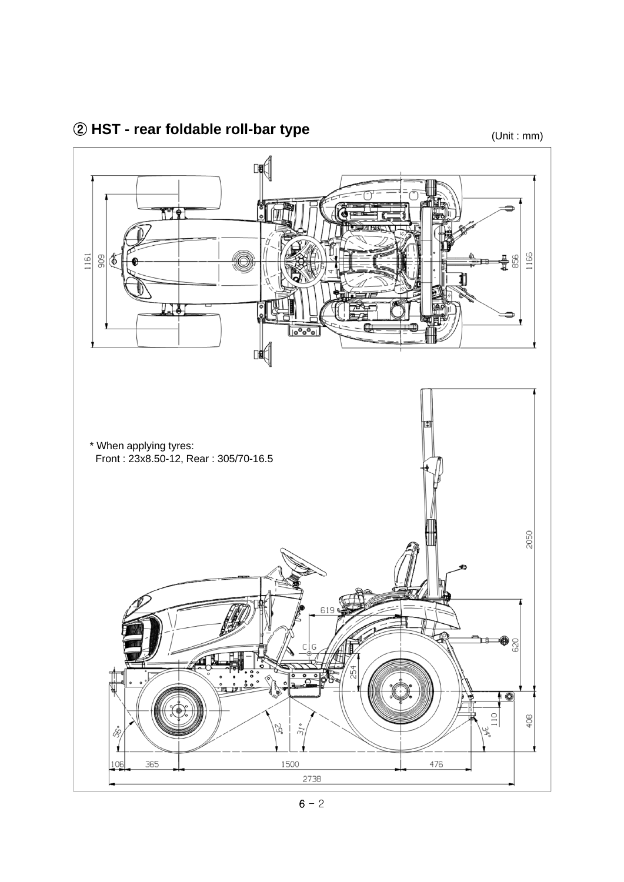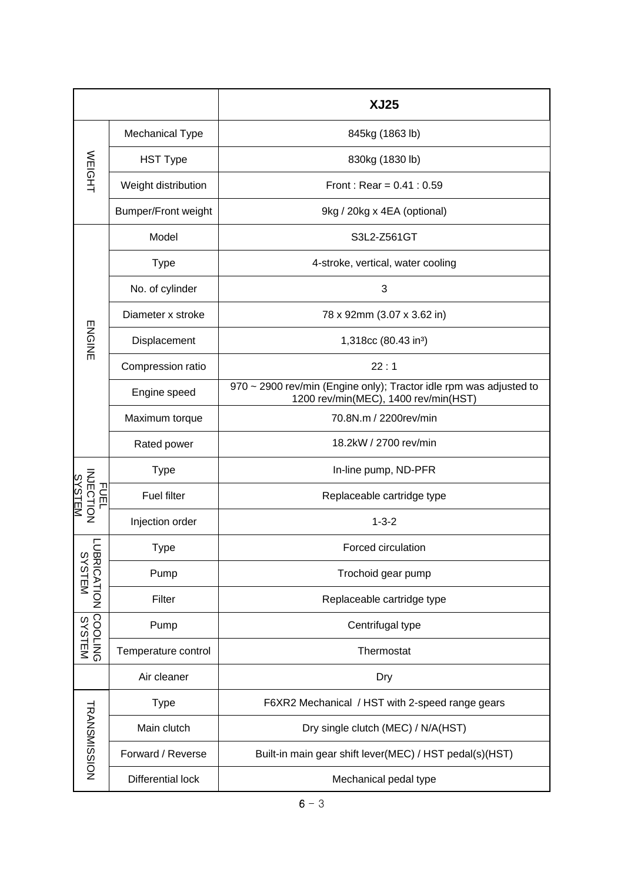|                                 |                            | <b>XJ25</b>                                                                                                |  |  |
|---------------------------------|----------------------------|------------------------------------------------------------------------------------------------------------|--|--|
| <b>WEIGHT</b>                   | <b>Mechanical Type</b>     | 845kg (1863 lb)                                                                                            |  |  |
|                                 | <b>HST Type</b>            | 830kg (1830 lb)                                                                                            |  |  |
|                                 | Weight distribution        | Front: Rear = $0.41 : 0.59$                                                                                |  |  |
|                                 | <b>Bumper/Front weight</b> | 9kg / 20kg x 4EA (optional)                                                                                |  |  |
| <b>ENGINE</b>                   | Model                      | S3L2-Z561GT                                                                                                |  |  |
|                                 | <b>Type</b>                | 4-stroke, vertical, water cooling                                                                          |  |  |
|                                 | No. of cylinder            | 3                                                                                                          |  |  |
|                                 | Diameter x stroke          | 78 x 92mm (3.07 x 3.62 in)                                                                                 |  |  |
|                                 | Displacement               | 1,318cc (80.43 in <sup>3</sup> )                                                                           |  |  |
|                                 | Compression ratio          | 22:1                                                                                                       |  |  |
|                                 | Engine speed               | 970 ~ 2900 rev/min (Engine only); Tractor idle rpm was adjusted to<br>1200 rev/min(MEC), 1400 rev/min(HST) |  |  |
|                                 | Maximum torque             | 70.8N.m / 2200rev/min                                                                                      |  |  |
|                                 | Rated power                | 18.2kW / 2700 rev/min                                                                                      |  |  |
| <b>NJECT</b><br>COBLO<br>ᆩ<br>읁 | <b>Type</b>                | In-line pump, ND-PFR                                                                                       |  |  |
|                                 | <b>Fuel filter</b>         | Replaceable cartridge type                                                                                 |  |  |
| 回                               | Injection order            | $1 - 3 - 2$                                                                                                |  |  |
| Ξ<br><b>BRICATION</b><br>SYSTEM | <b>Type</b>                | Forced circulation                                                                                         |  |  |
|                                 | Pump                       | Trochoid gear pump                                                                                         |  |  |
|                                 | Filter                     | Replaceable cartridge type                                                                                 |  |  |
|                                 | Pump                       | Centrifugal type                                                                                           |  |  |
| SYSTEM<br>SYSTEM                | Temperature control        | Thermostat                                                                                                 |  |  |
|                                 | Air cleaner                | Dry                                                                                                        |  |  |
| <b>TRANSMISSION</b>             | <b>Type</b>                | F6XR2 Mechanical / HST with 2-speed range gears                                                            |  |  |
|                                 | Main clutch                | Dry single clutch (MEC) / N/A(HST)                                                                         |  |  |
|                                 | Forward / Reverse          | Built-in main gear shift lever(MEC) / HST pedal(s)(HST)                                                    |  |  |
|                                 | <b>Differential lock</b>   | Mechanical pedal type                                                                                      |  |  |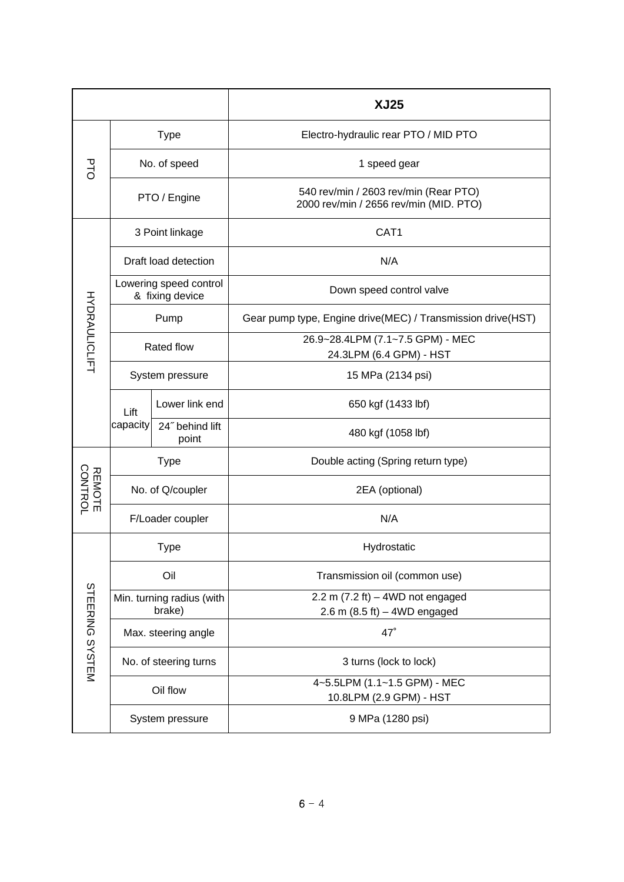|                      |                                           |                          | <b>XJ25</b>                                                                     |  |
|----------------------|-------------------------------------------|--------------------------|---------------------------------------------------------------------------------|--|
| р<br>С               | <b>Type</b>                               |                          | Electro-hydraulic rear PTO / MID PTO                                            |  |
|                      | No. of speed                              |                          | 1 speed gear                                                                    |  |
|                      | PTO / Engine                              |                          | 540 rev/min / 2603 rev/min (Rear PTO)<br>2000 rev/min / 2656 rev/min (MID. PTO) |  |
| <b>HYDRAULICLIFT</b> | 3 Point linkage                           |                          | CAT <sub>1</sub>                                                                |  |
|                      | Draft load detection                      |                          | N/A                                                                             |  |
|                      | Lowering speed control<br>& fixing device |                          | Down speed control valve                                                        |  |
|                      | Pump                                      |                          | Gear pump type, Engine drive(MEC) / Transmission drive(HST)                     |  |
|                      | Rated flow                                |                          | 26.9~28.4LPM (7.1~7.5 GPM) - MEC                                                |  |
|                      |                                           |                          | 24.3LPM (6.4 GPM) - HST                                                         |  |
|                      | System pressure                           |                          | 15 MPa (2134 psi)                                                               |  |
|                      | Lift<br>capacity                          | Lower link end           | 650 kgf (1433 lbf)                                                              |  |
|                      |                                           | 24" behind lift<br>point | 480 kgf (1058 lbf)                                                              |  |
| REMOTE<br>CONTROL    | <b>Type</b>                               |                          | Double acting (Spring return type)                                              |  |
|                      | No. of Q/coupler                          |                          | 2EA (optional)                                                                  |  |
|                      | F/Loader coupler                          |                          | N/A                                                                             |  |
|                      | Type                                      |                          | Hydrostatic                                                                     |  |
|                      | Oil                                       |                          | Transmission oil (common use)                                                   |  |
|                      | Min. turning radius (with                 |                          | 2.2 m $(7.2 \text{ ft}) - 4WD$ not engaged                                      |  |
|                      | brake)                                    |                          | 2.6 m $(8.5 \text{ ft}) - 4WD$ engaged                                          |  |
| STEERING SYSTEM      | Max. steering angle                       |                          | $47^\circ$                                                                      |  |
|                      | No. of steering turns                     |                          | 3 turns (lock to lock)                                                          |  |
|                      | Oil flow                                  |                          | 4~5.5LPM (1.1~1.5 GPM) - MEC<br>10.8LPM (2.9 GPM) - HST                         |  |
|                      | System pressure                           |                          | 9 MPa (1280 psi)                                                                |  |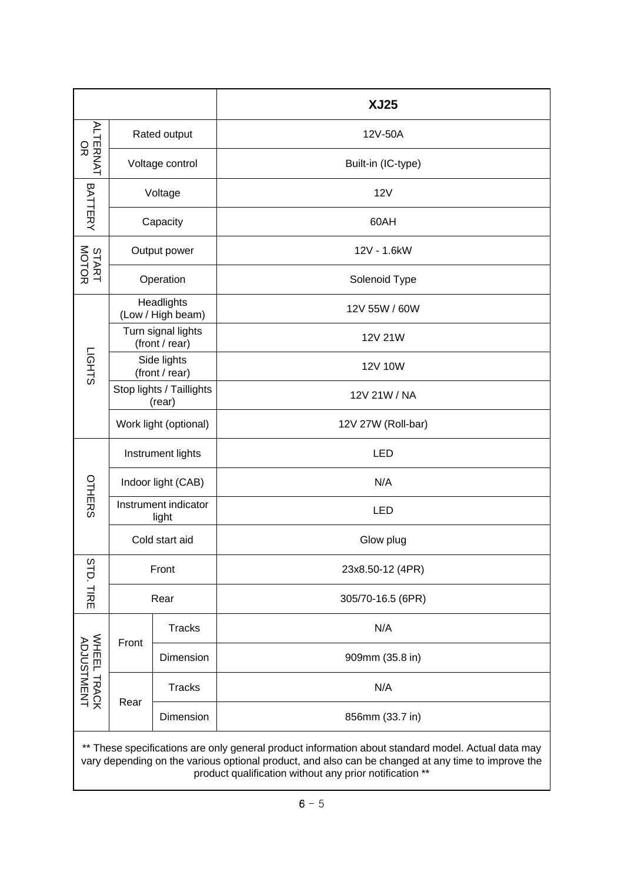|                                                                                                                                                                                                          |                                      |               | <b>XJ25</b>        |  |  |
|----------------------------------------------------------------------------------------------------------------------------------------------------------------------------------------------------------|--------------------------------------|---------------|--------------------|--|--|
| ALTERNAT<br>OR                                                                                                                                                                                           | Rated output                         |               | 12V-50A            |  |  |
|                                                                                                                                                                                                          | Voltage control                      |               | Built-in (IC-type) |  |  |
| BATTERY                                                                                                                                                                                                  | Voltage                              |               | <b>12V</b>         |  |  |
|                                                                                                                                                                                                          | Capacity                             |               | 60AH               |  |  |
| START<br>MOTOR                                                                                                                                                                                           | Output power                         |               | 12V - 1.6kW        |  |  |
|                                                                                                                                                                                                          | Operation                            |               | Solenoid Type      |  |  |
| LIGHTS                                                                                                                                                                                                   | Headlights<br>(Low / High beam)      |               | 12V 55W / 60W      |  |  |
|                                                                                                                                                                                                          | Turn signal lights<br>(front / rear) |               | 12V 21W            |  |  |
|                                                                                                                                                                                                          | Side lights<br>(front / rear)        |               | 12V 10W            |  |  |
|                                                                                                                                                                                                          | Stop lights / Taillights<br>(rear)   |               | 12V 21W / NA       |  |  |
|                                                                                                                                                                                                          | Work light (optional)                |               | 12V 27W (Roll-bar) |  |  |
|                                                                                                                                                                                                          | Instrument lights                    |               | <b>LED</b>         |  |  |
|                                                                                                                                                                                                          | Indoor light (CAB)                   |               | N/A                |  |  |
| OTHERS                                                                                                                                                                                                   | Instrument indicator<br>light        |               | <b>LED</b>         |  |  |
|                                                                                                                                                                                                          | Cold start aid                       |               | Glow plug          |  |  |
| <b>STD. TIRE</b>                                                                                                                                                                                         | Front                                |               | 23x8.50-12 (4PR)   |  |  |
|                                                                                                                                                                                                          | Rear                                 |               | 305/70-16.5 (6PR)  |  |  |
|                                                                                                                                                                                                          | Front                                | <b>Tracks</b> | N/A                |  |  |
| WHEEL TRACK<br>ADJUSTMENT                                                                                                                                                                                |                                      | Dimension     | 909mm (35.8 in)    |  |  |
|                                                                                                                                                                                                          | Rear                                 | <b>Tracks</b> | N/A                |  |  |
|                                                                                                                                                                                                          |                                      | Dimension     | 856mm (33.7 in)    |  |  |
| ** These specifications are only general product information about standard model. Actual data may<br>vary depending on the various optional product, and also can be changed at any time to improve the |                                      |               |                    |  |  |